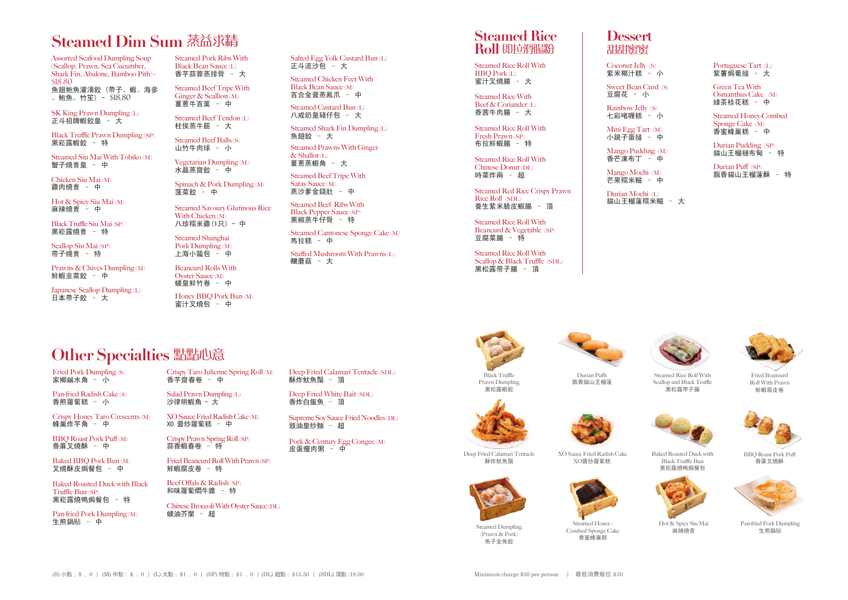Assorted Seafood Dumpling Soup (Scallop, Prawn, Sea Cucumber, Shark Fin, Abalone, Bamboo Pith) - \$18.80 魚翅鮑魚灌湯餃 (帶子、蝦、海參

、鮑魚、竹笙) - \$18.80

SK King Prawn Dumpling (L) 正斗招牌蝦餃皇 – 大

Black Truffle Prawn Dumpling (SP) 黑崧露蝦餃 – 特

Steamed Siu Mai With Tobiko (M) 蟹子燒賣皇 – 中

Fried Pork Dumpling (S) 家鄉鹹水角 - 小

Chicken Siu Mai (M) 雞肉燒賣 – 中

Hot & Spicy Siu Mai (M) 麻辣燒賣 – 中

Black Truffle Siu Mai (SP) 黑崧露燒賣 – 特

Scallop Siu Mai (SP) 带子燒賣 – 特

Prawns & Chives Dumpling (M) 鮮蝦韭菜餃 – 中

Japanese Scallop Dumpling (L) 日本帶子餃 – 大

## **Steamed Dim Sum** 蒸益求精

Pan-fried Radish Cake (S) 香煎蘿蔔糕 – 小

Crispy Honey Taro Crescents (M) 蜂巢炸芋角 – 中

BBQ Roast Pork Puff (M) 香蔴叉燒酥 – 中

Baked BBQ Pork Bun (M) 叉燒酥皮焗餐包 – 中

**Steamed Rice Roll 即拉滑腸粉** 

Baked Roasted Duck with Black Truffle Bun (SP) 黑崧露燒鴨焗餐包 – 特

Coconut Jelly (S) 紫米椰汁糕 - 小

Pan-fried Pork Dumpling (M) 生煎鍋貼 – 中

Fried Beancurd Roll With Prawn 鮮蝦腐皮卷









Vegetarian Dumpling (M) 水晶蒸齋餃 - 中

> Steamed Dumpling (Prawn & Pork) 魚子金魚餃

Steamed Rice Roll With BBQ Pork (L) 蜜汁叉燒腸 – 大

Steamed Rice With Beef & Coriander (L) 香茜牛肉腸 – 大

Steamed Rice Roll With Fresh Prawn (SP) 布拉鮮蝦腸 – 特

Steamed Rice Roll With Chinese Donut (DL) 時菜炸兩 – 超

Steamed Red Rice Crispy Prawn Rice Roll (SDL) 養生紫米脆皮蝦腸 – 頂

Steamed Rice Roll With Beancurd & Vegetable (SP) 豆腐菜腸 – 特

Salad Prawn Dumpling (L) 沙律明蝦角 - 大

Steamed Rice Roll With Scallop & Black Truffle (SDL) 黑松露带子腸 – 頂

Crispy Prawn Spring Roll (SP) 蒜香蝦春卷 – 特

Sweet Bean Curd (S) 豆腐花 – 小

Rainbow Jelly (S) 七彩啫喱糕 – 小

Mini Egg Tart (M) 小鏡子蛋撻 – 中

Mango Pudding (M) 香芒凍布丁 – 中

Mango Mochi (M)

芒果糯米糍 – 中 Durian Mochi (L)

## **Other Specialties 點點心意**

貓山王榴蓮糯米糍 – 大

Portuguese Tart (L) 紫薯焗葡撻 - 大

## **Dessert** 甜甜蜜蜜

Durian Puffs 飄香貓山王榴蓮

Steamed Honey - Combed Sponge Cake 香蜜蜂巢糕

Hot & Spicy Siu Mai 麻辣燒賣



Pan-fried Pork Dumpling 生煎鍋貼

Steamed Rice Roll With Scallop and Black Truffle 黑松露帶子腸



Steamed Pork Ribs With Black Bean Sauce (L) 香芋蒜蓉蒸排骨 – 大

Steamed Beef Tripe With Ginger & Scallion (M) 薑蔥牛百葉 – 中

Steamed Beef Tendon (L) 柱侯蒸牛筋 – 大

Steamed Beef Balls (S) 山竹牛肉球 – 小

Spinach & Pork Dumpling (M) 菠菜餃 – 中

Steamed Savoury Glutinous Rice With Chicken (M) 八珍糯米雞(1只) - 中

Steamed Shanghai Pork Dumpling (M) 上海小籠包 – 中

Beancurd Rolls With Oyster Sauce (M) 蠔皇鮮竹卷 – 中

Honey BBQ Pork Bun (M) 蜜汁叉燒包 – 中

Salted Egg Yolk Custard Bun (L) 正斗流沙包 – 大

Steamed Chicken Feet With Black Bean Sauce (M) 百合金醬蒸鳳爪 – 中

Steamed Custard Bun (L) 八戒奶皇豬仔包 – 大

Steamed Shark Fin Dumpling (L) 魚翅餃 – 大 Steamed Prawns With Ginger

& Shallot (L) 薑蔥蒸蝦角 – 大

Steamed Beef Tripe With Satay Sauce (M) 蒸沙爹金錢肚 – 中

Steamed Beef Ribs With Black Pepper Sauce (SP) 黑椒蒸牛仔骨 – 特

Steamed Cantonese Sponge Cake (M) 馬拉糕 – 中

Stuffed Mushroom With Prawns (L) 釀蘑菇 – 大

Crispy Taro Julienne Spring Roll (M) 香芋齋春卷 – 中

XO Sauce Fried Radish Cake (M) XO 醬炒蘿蔔糕 – 中

Fried Beancurd Roll With Prawn (SP) 鮮蝦腐皮卷 – 特

Beef Offals & Radish (SP) 和味蘿蔔燜牛雜 – 特

Chinese Broccoli With Oyster Sauce (DL) 蠔油芥蘭 – 超

Deep Fried Calamari Tentacle (SDL) 酥炸魷魚鬚 – 頂

Deep Fried White Bait (SDL) 香炸白飯魚 – 頂

Supreme Soy Sauce Fried Noodles (DL)

Pork & Century Egg Congee (M)<br>皮蛋瘦肉粥 - 中

豉油皇炒麵 – 超

皮蛋瘦肉粥 - 中 BBQ Roast Pork Puff Puffed Calamari Tentacle And Sauce Fried Radish Cake Baked Roasted Duck with BBQ Roast Pork Puff

香蔴叉燒酥



Deep Fried Calamari Tentacle 酥炸魷魚鬚



XO Sauce Fried Radish Cake

XO醬炒蘿蔔糕

Baked Roasted Duck with Black Truffle Bun 黑崧露燒鴨焗餐包



Green Tea With Osmanthus Cake (M) 綠茶桂花糕 – 中

Steamed Honey-Combed Sponge Cake (M) 香蜜蜂巢糕 – 中

Durian Pudding (SP) 貓山王榴槤布甸 – 特

Durian Puff (SP) 飄香貓山王榴蓮酥 – 特